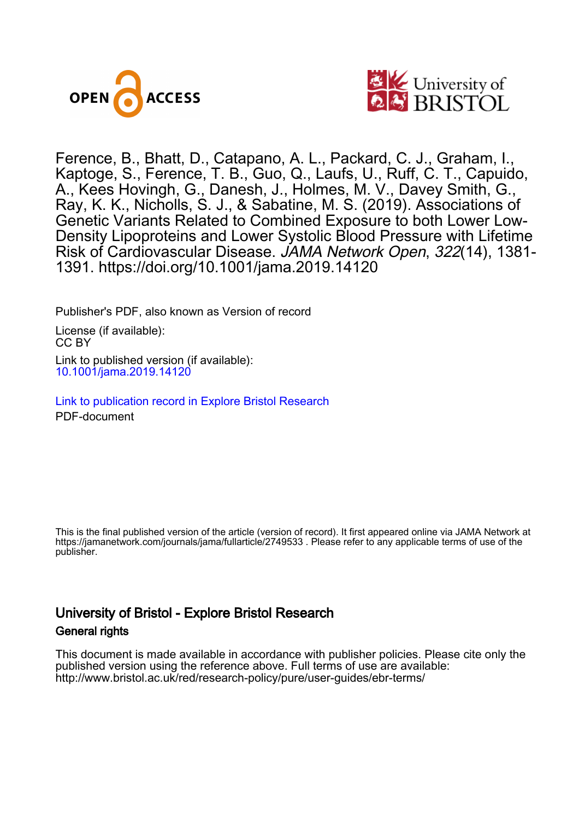



Ference, B., Bhatt, D., Catapano, A. L., Packard, C. J., Graham, I., Kaptoge, S., Ference, T. B., Guo, Q., Laufs, U., Ruff, C. T., Capuido, A., Kees Hovingh, G., Danesh, J., Holmes, M. V., Davey Smith, G., Ray, K. K., Nicholls, S. J., & Sabatine, M. S. (2019). Associations of Genetic Variants Related to Combined Exposure to both Lower Low-Density Lipoproteins and Lower Systolic Blood Pressure with Lifetime Risk of Cardiovascular Disease. JAMA Network Open, 322(14), 1381- 1391.<https://doi.org/10.1001/jama.2019.14120>

Publisher's PDF, also known as Version of record

License (if available): CC BY Link to published version (if available): [10.1001/jama.2019.14120](https://doi.org/10.1001/jama.2019.14120)

[Link to publication record in Explore Bristol Research](https://research-information.bris.ac.uk/en/publications/dc2496b5-3634-431f-820a-b0970f40e749) PDF-document

This is the final published version of the article (version of record). It first appeared online via JAMA Network at https://jamanetwork.com/journals/jama/fullarticle/2749533. Please refer to any applicable terms of use of the publisher.

## University of Bristol - Explore Bristol Research General rights

This document is made available in accordance with publisher policies. Please cite only the published version using the reference above. Full terms of use are available: http://www.bristol.ac.uk/red/research-policy/pure/user-guides/ebr-terms/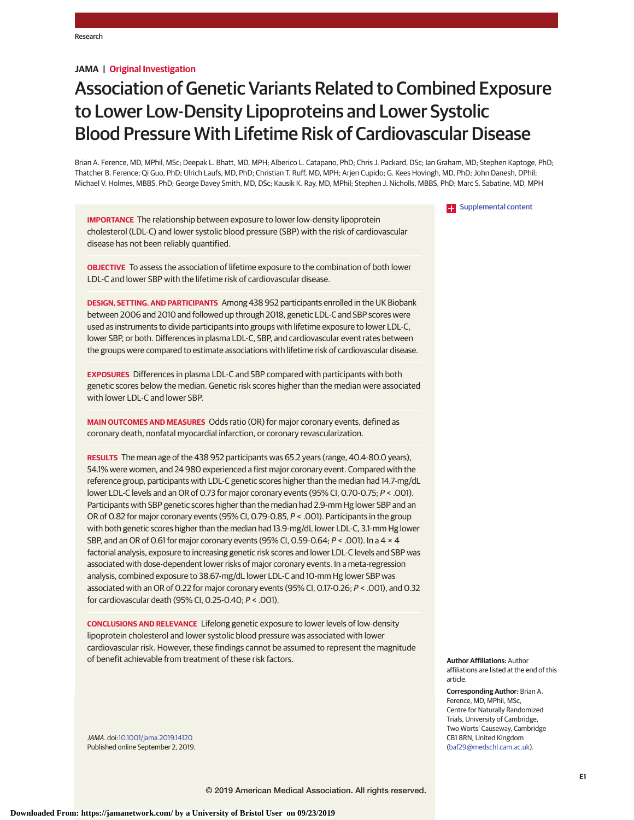## **JAMA | Original Investigation**

# Association of Genetic Variants Related to Combined Exposure to Lower Low-Density Lipoproteins and Lower Systolic Blood Pressure With Lifetime Risk of Cardiovascular Disease

Brian A. Ference, MD, MPhil, MSc; Deepak L. Bhatt, MD, MPH; Alberico L. Catapano, PhD; Chris J. Packard, DSc; Ian Graham, MD; Stephen Kaptoge, PhD; Thatcher B. Ference; Qi Guo, PhD; Ulrich Laufs, MD, PhD; Christian T. Ruff, MD, MPH; Arjen Cupido; G. Kees Hovingh, MD, PhD; John Danesh, DPhil; Michael V. Holmes, MBBS, PhD; George Davey Smith, MD, DSc; Kausik K. Ray, MD, MPhil; Stephen J. Nicholls, MBBS, PhD; Marc S. Sabatine, MD, MPH

#### **Examplemental content**

**IMPORTANCE** The relationship between exposure to lower low-density lipoprotein cholesterol (LDL-C) and lower systolic blood pressure (SBP) with the risk of cardiovascular disease has not been reliably quantified.

**OBJECTIVE** To assess the association of lifetime exposure to the combination of both lower LDL-C and lower SBP with the lifetime risk of cardiovascular disease.

**DESIGN, SETTING, AND PARTICIPANTS** Among 438 952 participants enrolled in the UK Biobank between 2006 and 2010 and followed up through 2018, genetic LDL-C and SBP scores were used as instruments to divide participants into groups with lifetime exposure to lower LDL-C, lower SBP, or both. Differences in plasma LDL-C, SBP, and cardiovascular event rates between the groups were compared to estimate associations with lifetime risk of cardiovascular disease.

**EXPOSURES** Differences in plasma LDL-C and SBP compared with participants with both genetic scores below the median. Genetic risk scores higher than the median were associated with lower LDL-C and lower SBP.

**MAIN OUTCOMES AND MEASURES** Odds ratio (OR) for major coronary events, defined as coronary death, nonfatal myocardial infarction, or coronary revascularization.

**RESULTS** The mean age of the 438 952 participants was 65.2 years (range, 40.4-80.0 years), 54.1% were women, and 24 980 experienced a first major coronary event. Compared with the reference group, participants with LDL-C genetic scores higher than the median had 14.7-mg/dL lower LDL-C levels and an OR of 0.73 for major coronary events (95% CI, 0.70-0.75; P < .001). Participants with SBP genetic scores higher than the median had 2.9-mm Hg lower SBP and an OR of 0.82 for major coronary events (95% CI, 0.79-0.85, P < .001). Participants in the group with both genetic scores higher than the median had 13.9-mg/dL lower LDL-C, 3.1-mm Hg lower SBP, and an OR of 0.61 for major coronary events (95% CI, 0.59-0.64; P < .001). In a 4 × 4 factorial analysis, exposure to increasing genetic risk scores and lower LDL-C levels and SBP was associated with dose-dependent lower risks of major coronary events. In a meta-regression analysis, combined exposure to 38.67-mg/dL lower LDL-C and 10-mm Hg lower SBP was associated with an OR of 0.22 for major coronary events (95% CI, 0.17-0.26; P < .001), and 0.32 for cardiovascular death (95% CI, 0.25-0.40; P < .001).

**CONCLUSIONS AND RELEVANCE** Lifelong genetic exposure to lower levels of low-density lipoprotein cholesterol and lower systolic blood pressure was associated with lower cardiovascular risk. However, these findings cannot be assumed to represent the magnitude of benefit achievable from treatment of these risk factors.

JAMA. doi[:10.1001/jama.2019.14120](https://jama.jamanetwork.com/article.aspx?doi=10.1001/jama.2019.14120&utm_campaign=articlePDF%26utm_medium=articlePDFlink%26utm_source=articlePDF%26utm_content=jama.2019.14120) Published online September 2, 2019. **Author Affiliations:** Author affiliations are listed at the end of this article.

**Corresponding Author:** Brian A. Ference, MD, MPhil, MSc, Centre for Naturally Randomized Trials, University of Cambridge, Two Worts' Causeway, Cambridge CB1 8RN, United Kingdom [\(baf29@medschl.cam.ac.uk\)](mailto:baf29@medschl.cam.ac.uk).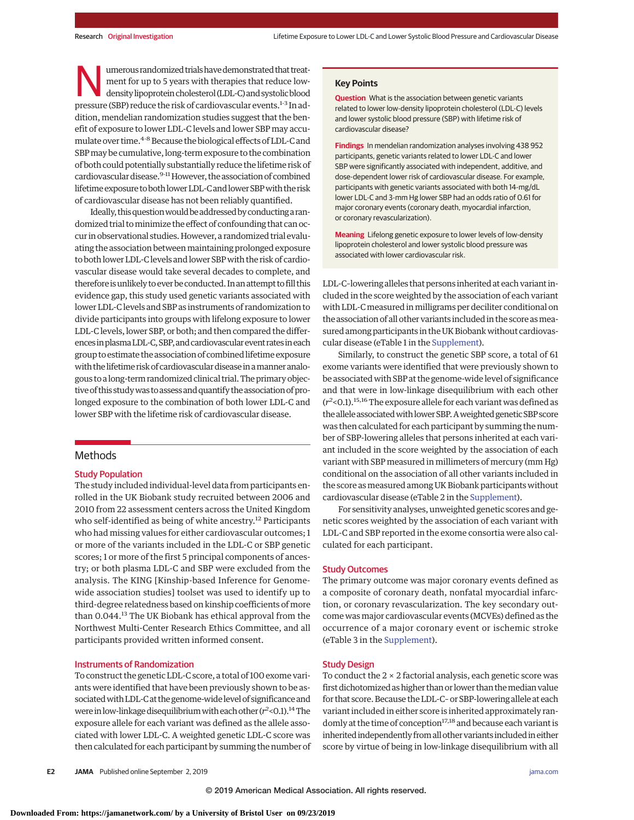werous randomized trials have demonstrated that treat-<br>
ment for up to 5 years with therapies that reduce low-<br>
density lipoprotein cholesterol (LDL-C) and systolic blood<br>
pressure (SBP) reduce the risk of cardiovascular o ment for up to 5 years with therapies that reduce lowpressure (SBP) reduce the risk of cardiovascular events.<sup>1-3</sup> In addition, mendelian randomization studies suggest that the benefit of exposure to lower LDL-C levels and lower SBP may accumulate over time.<sup>4-8</sup> Because the biological effects of LDL-C and SBPmay be cumulative, long-term exposure to the combination of both could potentially substantially reduce the lifetime risk of cardiovascular disease.<sup>9-11</sup> However, the association of combined lifetime exposure toboth lowerLDL-C and lower SBPwith the risk of cardiovascular disease has not been reliably quantified.

Ideally, this question would be addressed by conducting a randomized trial to minimize the effect of confounding that can occur in observational studies.However, a randomized trial evaluating the association between maintaining prolonged exposure to both lower LDL-C levels and lower SBPwith the risk of cardiovascular disease would take several decades to complete, and therefore is unlikely to ever be conducted. In an attempt to fill this evidence gap, this study used genetic variants associated with lower LDL-C levels and SBP as instruments of randomization to divide participants into groups with lifelong exposure to lower LDL-C levels, lower SBP, or both; and then compared the differences in plasma LDL-C, SBP, and cardiovascular event rates in each group to estimate the association of combined lifetime exposure with the lifetime risk of cardiovascular disease in a manner analogous to a long-term randomized clinical trial. The primary objective of this study was to assess and quantify the association of prolonged exposure to the combination of both lower LDL-C and lower SBP with the lifetime risk of cardiovascular disease.

## Methods

## Study Population

The study included individual-level data from participants enrolled in the UK Biobank study recruited between 2006 and 2010 from 22 assessment centers across the United Kingdom who self-identified as being of white ancestry.<sup>12</sup> Participants who had missing values for either cardiovascular outcomes; 1 or more of the variants included in the LDL-C or SBP genetic scores; 1 or more of the first 5 principal components of ancestry; or both plasma LDL-C and SBP were excluded from the analysis. The KING [Kinship-based Inference for Genomewide association studies] toolset was used to identify up to third-degree relatedness based on kinship coefficients of more than 0.044.<sup>13</sup> The UK Biobank has ethical approval from the Northwest Multi-Center Research Ethics Committee, and all participants provided written informed consent.

## Instruments of Randomization

To construct the genetic LDL-C score, a total of 100 exome variants were identified that have been previously shown to be associated with LDL-C at the genome-wide level of significance and were in low-linkage disequilibrium with each other ( $r^2$ <0.1).<sup>14</sup> The exposure allele for each variant was defined as the allele associated with lower LDL-C. A weighted genetic LDL-C score was then calculated for each participant by summing the number of

## **Key Points**

**Question** What is the association between genetic variants related to lower low-density lipoprotein cholesterol (LDL-C) levels and lower systolic blood pressure (SBP) with lifetime risk of cardiovascular disease?

**Findings** In mendelian randomization analyses involving 438 952 participants, genetic variants related to lower LDL-C and lower SBP were significantly associated with independent, additive, and dose-dependent lower risk of cardiovascular disease. For example, participants with genetic variants associated with both 14-mg/dL lower LDL-C and 3-mm Hg lower SBP had an odds ratio of 0.61 for major coronary events (coronary death, myocardial infarction, or coronary revascularization).

**Meaning** Lifelong genetic exposure to lower levels of low-density lipoprotein cholesterol and lower systolic blood pressure was associated with lower cardiovascular risk.

LDL-C–lowering alleles that persons inherited at each variant included in the score weighted by the association of each variant with LDL-C measured in milligrams per deciliter conditional on the association of all other variants included in the score as measured among participants in the UK Biobank without cardiovascular disease (eTable 1 in the [Supplement\)](https://jama.jamanetwork.com/article.aspx?doi=10.1001/jama.2019.14120&utm_campaign=articlePDF%26utm_medium=articlePDFlink%26utm_source=articlePDF%26utm_content=jama.2019.14120).

Similarly, to construct the genetic SBP score, a total of 61 exome variants were identified that were previously shown to be associated with SBP at the genome-wide level of significance and that were in low-linkage disequilibrium with each other (*r2* <0.1).15,16The exposure allele for each variant was defined as the allele associated with lower SBP. A weighted genetic SBP score was then calculated for each participant by summing the number of SBP-lowering alleles that persons inherited at each variant included in the score weighted by the association of each variant with SBP measured in millimeters of mercury (mm Hg) conditional on the association of all other variants included in the score as measured among UK Biobank participants without cardiovascular disease (eTable 2 in the [Supplement\)](https://jama.jamanetwork.com/article.aspx?doi=10.1001/jama.2019.14120&utm_campaign=articlePDF%26utm_medium=articlePDFlink%26utm_source=articlePDF%26utm_content=jama.2019.14120).

For sensitivity analyses, unweighted genetic scores and genetic scores weighted by the association of each variant with LDL-C and SBP reported in the exome consortia were also calculated for each participant.

## Study Outcomes

The primary outcome was major coronary events defined as a composite of coronary death, nonfatal myocardial infarction, or coronary revascularization. The key secondary outcome was major cardiovascular events (MCVEs) defined as the occurrence of a major coronary event or ischemic stroke (eTable 3 in the [Supplement\)](https://jama.jamanetwork.com/article.aspx?doi=10.1001/jama.2019.14120&utm_campaign=articlePDF%26utm_medium=articlePDFlink%26utm_source=articlePDF%26utm_content=jama.2019.14120).

## Study Design

To conduct the  $2 \times 2$  factorial analysis, each genetic score was first dichotomized as higher than or lower than the median value for that score. Because the LDL-C– or SBP-lowering allele at each variant included in either score is inherited approximately randomly at the time of conception<sup>17,18</sup> and because each variant is inherited independently from all other variants included in either score by virtue of being in low-linkage disequilibrium with all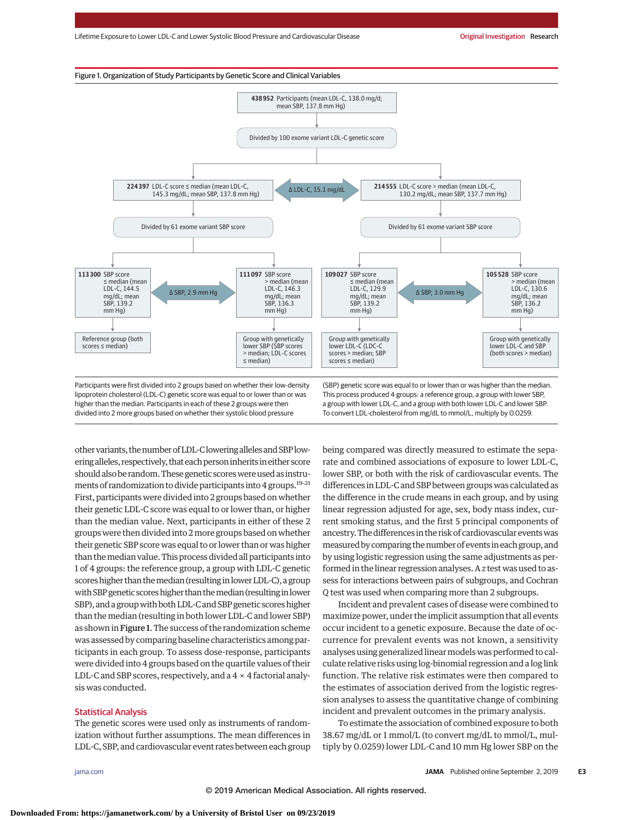



divided into 2 more groups based on whether their systolic blood pressure

To convert LDL-cholesterol from mg/dL to mmol/L, multiply by 0.0259.

other variants, the number of LDL-C lowering alleles and SBP lowering alleles, respectively, that each person inherits in either score should also be random. These genetic scores were used as instruments of randomization to divide participants into 4 groups.19-21 First, participants were divided into 2 groups based on whether their genetic LDL-C score was equal to or lower than, or higher than the median value. Next, participants in either of these 2 groups were then divided into 2more groups based on whether their genetic SBP score was equal to or lower than or was higher than themedian value. This process divided all participants into 1 of 4 groups: the reference group, a group with LDL-C genetic scoreshigher than themedian (resulting in lowerLDL-C), a group with SBP genetic scores higher than the median (resulting in lower SBP), and a group with both LDL-C and SBP genetic scores higher than themedian (resulting in both lower LDL-C and lower SBP) as shown in Figure 1. The success of the randomization scheme was assessed by comparing baseline characteristics among participants in each group. To assess dose-response, participants were divided into 4 groups based on the quartile values of their LDL-C and SBP scores, respectively, and a  $4 \times 4$  factorial analysis was conducted.

## Statistical Analysis

The genetic scores were used only as instruments of randomization without further assumptions. The mean differences in LDL-C, SBP, and cardiovascular event rates between each group being compared was directly measured to estimate the separate and combined associations of exposure to lower LDL-C, lower SBP, or both with the risk of cardiovascular events. The differences in LDL-C and SBP between groups was calculated as the difference in the crude means in each group, and by using linear regression adjusted for age, sex, body mass index, current smoking status, and the first 5 principal components of ancestry.The differences in the risk of cardiovascular eventswas measured by comparing the number of events in each group, and by using logistic regression using the same adjustments as performed in the linear regression analyses. A *z* test was used to assess for interactions between pairs of subgroups, and Cochran *Q* test was used when comparing more than 2 subgroups.

Incident and prevalent cases of disease were combined to maximize power, under the implicit assumption that all events occur incident to a genetic exposure. Because the date of occurrence for prevalent events was not known, a sensitivity analyses using generalized linear models was performed to calculate relative risks using log-binomial regression and a log link function. The relative risk estimates were then compared to the estimates of association derived from the logistic regression analyses to assess the quantitative change of combining incident and prevalent outcomes in the primary analysis.

To estimate the association of combined exposure to both 38.67 mg/dL or 1 mmol/L (to convert mg/dL to mmol/L, multiply by 0.0259) lower LDL-C and 10 mm Hg lower SBP on the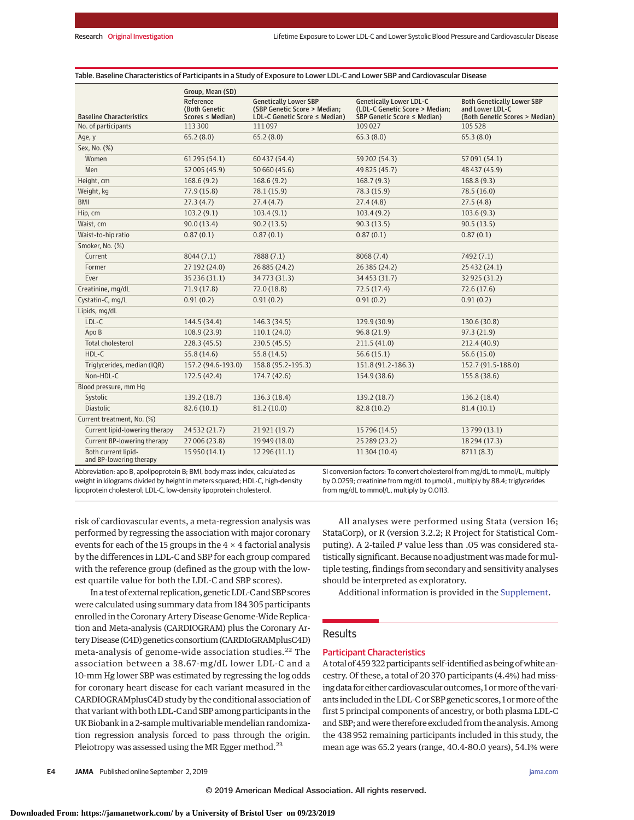|                                                | Group, Mean (SD)                                   |                                                                                               |                                                                                                 |                                                                                        |
|------------------------------------------------|----------------------------------------------------|-----------------------------------------------------------------------------------------------|-------------------------------------------------------------------------------------------------|----------------------------------------------------------------------------------------|
| <b>Baseline Characteristics</b>                | Reference<br>(Both Genetic<br>$Scores \le Median)$ | <b>Genetically Lower SBP</b><br>(SBP Genetic Score > Median;<br>LDL-C Genetic Score ≤ Median) | <b>Genetically Lower LDL-C</b><br>(LDL-C Genetic Score > Median;<br>SBP Genetic Score ≤ Median) | <b>Both Genetically Lower SBP</b><br>and Lower LDL-C<br>(Both Genetic Scores > Median) |
| No. of participants                            | 113 300                                            | 111097                                                                                        | 109 027                                                                                         | 105 528                                                                                |
| Age, y                                         | 65.2(8.0)                                          | 65.2(8.0)                                                                                     | 65.3(8.0)                                                                                       | 65.3(8.0)                                                                              |
| Sex, No. (%)                                   |                                                    |                                                                                               |                                                                                                 |                                                                                        |
| Women                                          | 61295 (54.1)                                       | 60 437 (54.4)                                                                                 | 59 202 (54.3)                                                                                   | 57 091 (54.1)                                                                          |
| Men                                            | 52 005 (45.9)                                      | 50 660 (45.6)                                                                                 | 49 825 (45.7)                                                                                   | 48 437 (45.9)                                                                          |
| Height, cm                                     | 168.6(9.2)                                         | 168.6(9.2)                                                                                    | 168.7(9.3)                                                                                      | 168.8(9.3)                                                                             |
| Weight, kg                                     | 77.9(15.8)                                         | 78.1 (15.9)                                                                                   | 78.3 (15.9)                                                                                     | 78.5(16.0)                                                                             |
| <b>BMI</b>                                     | 27.3(4.7)                                          | 27.4(4.7)                                                                                     | 27.4(4.8)                                                                                       | 27.5(4.8)                                                                              |
| Hip, cm                                        | 103.2(9.1)                                         | 103.4(9.1)                                                                                    | 103.4(9.2)                                                                                      | 103.6(9.3)                                                                             |
| Waist, cm                                      | 90.0(13.4)                                         | 90.2(13.5)                                                                                    | 90.3(13.5)                                                                                      | 90.5(13.5)                                                                             |
| Waist-to-hip ratio                             | 0.87(0.1)                                          | 0.87(0.1)                                                                                     | 0.87(0.1)                                                                                       | 0.87(0.1)                                                                              |
| Smoker, No. (%)                                |                                                    |                                                                                               |                                                                                                 |                                                                                        |
| Current                                        | 8044(7.1)                                          | 7888 (7.1)                                                                                    | 8068 (7.4)                                                                                      | 7492 (7.1)                                                                             |
| Former                                         | 27 192 (24.0)                                      | 26 885 (24.2)                                                                                 | 26 385 (24.2)                                                                                   | 25 432 (24.1)                                                                          |
| Ever                                           | 35 236 (31.1)                                      | 34773 (31.3)                                                                                  | 34 453 (31.7)                                                                                   | 32 925 (31.2)                                                                          |
| Creatinine, mg/dL                              | 71.9(17.8)                                         | 72.0(18.8)                                                                                    | 72.5 (17.4)                                                                                     | 72.6(17.6)                                                                             |
| Cystatin-C, mg/L                               | 0.91(0.2)                                          | 0.91(0.2)                                                                                     | 0.91(0.2)                                                                                       | 0.91(0.2)                                                                              |
| Lipids, mg/dL                                  |                                                    |                                                                                               |                                                                                                 |                                                                                        |
| LDL-C                                          | 144.5 (34.4)                                       | 146.3 (34.5)                                                                                  | 129.9 (30.9)                                                                                    | 130.6 (30.8)                                                                           |
| Apo B                                          | 108.9 (23.9)                                       | 110.1(24.0)                                                                                   | 96.8(21.9)                                                                                      | 97.3(21.9)                                                                             |
| <b>Total cholesterol</b>                       | 228.3(45.5)                                        | 230.5(45.5)                                                                                   | 211.5(41.0)                                                                                     | 212.4 (40.9)                                                                           |
| HDL-C                                          | 55.8(14.6)                                         | 55.8(14.5)                                                                                    | 56.6(15.1)                                                                                      | 56.6(15.0)                                                                             |
| Triglycerides, median (IQR)                    | 157.2 (94.6-193.0)                                 | 158.8 (95.2-195.3)                                                                            | 151.8 (91.2-186.3)                                                                              | 152.7 (91.5-188.0)                                                                     |
| Non-HDL-C                                      | 172.5(42.4)                                        | 174.7(42.6)                                                                                   | 154.9 (38.6)                                                                                    | 155.8 (38.6)                                                                           |
| Blood pressure, mm Hq                          |                                                    |                                                                                               |                                                                                                 |                                                                                        |
| Systolic                                       | 139.2 (18.7)                                       | 136.3 (18.4)                                                                                  | 139.2 (18.7)                                                                                    | 136.2 (18.4)                                                                           |
| <b>Diastolic</b>                               | 82.6(10.1)                                         | 81.2(10.0)                                                                                    | 82.8 (10.2)                                                                                     | 81.4(10.1)                                                                             |
| Current treatment, No. (%)                     |                                                    |                                                                                               |                                                                                                 |                                                                                        |
| Current lipid-lowering therapy                 | 24 532 (21.7)                                      | 21 921 (19.7)                                                                                 | 15 796 (14.5)                                                                                   | 13799 (13.1)                                                                           |
| Current BP-lowering therapy                    | 27 006 (23.8)                                      | 19 949 (18.0)                                                                                 | 25 289 (23.2)                                                                                   | 18 294 (17.3)                                                                          |
| Both current lipid-<br>and BP-lowering therapy | 15 950 (14.1)                                      | 12 296 (11.1)                                                                                 | 11 304 (10.4)                                                                                   | 8711(8.3)                                                                              |

Table. Baseline Characteristics of Participants in a Study of Exposure to Lower LDL-C and Lower SBP and Cardiovascular Disease

Abbreviation: apo B, apolipoprotein B; BMI, body mass index, calculated as weight in kilograms divided by height in meters squared; HDL-C, high-density lipoprotein cholesterol; LDL-C, low-density lipoprotein cholesterol.

SI conversion factors: To convert cholesterol from mg/dL to mmol/L, multiply by 0.0259; creatinine from mg/dL to μmol/L, multiply by 88.4; triglycerides from mg/dL to mmol/L, multiply by 0.0113.

risk of cardiovascular events, a meta-regression analysis was performed by regressing the association with major coronary events for each of the 15 groups in the 4 × 4 factorial analysis by the differences in LDL-C and SBP for each group compared with the reference group (defined as the group with the lowest quartile value for both the LDL-C and SBP scores).

In a test of external replication, geneticLDL-C and SBP scores were calculated using summary data from 184 305 participants enrolled in the Coronary Artery Disease Genome-Wide Replication and Meta-analysis (CARDIOGRAM) plus the Coronary Artery Disease (C4D) genetics consortium (CARDIoGRAMplusC4D) meta-analysis of genome-wide association studies. $^{22}$  The association between a 38.67-mg/dL lower LDL-C and a 10-mm Hg lower SBP was estimated by regressing the log odds for coronary heart disease for each variant measured in the CARDIOGRAMplusC4D study by the conditional association of that variant with both LDL-C and SBP among participants in the UK Biobank in a 2-sample multivariable mendelian randomization regression analysis forced to pass through the origin. Pleiotropy was assessed using the MR Egger method.<sup>23</sup>

All analyses were performed using Stata (version 16; StataCorp), or R (version 3.2.2; R Project for Statistical Computing). A 2-tailed *P* value less than .05 was considered statistically significant. Because no adjustment was made for multiple testing, findings from secondary and sensitivity analyses should be interpreted as exploratory.

Additional information is provided in the [Supplement.](https://jama.jamanetwork.com/article.aspx?doi=10.1001/jama.2019.14120&utm_campaign=articlePDF%26utm_medium=articlePDFlink%26utm_source=articlePDF%26utm_content=jama.2019.14120)

## **Results**

## Participant Characteristics

A total of 459 322 participants self-identified as being of white ancestry. Of these, a total of 20 370 participants (4.4%) had missing data for either cardiovascular outcomes, 1 or more of the variants included in the LDL-C or SBP genetic scores, 1 ormore of the first 5 principal components of ancestry, or both plasma LDL-C and SBP; and were therefore excluded from the analysis. Among the 438 952 remaining participants included in this study, the mean age was 65.2 years (range, 40.4-80.0 years), 54.1% were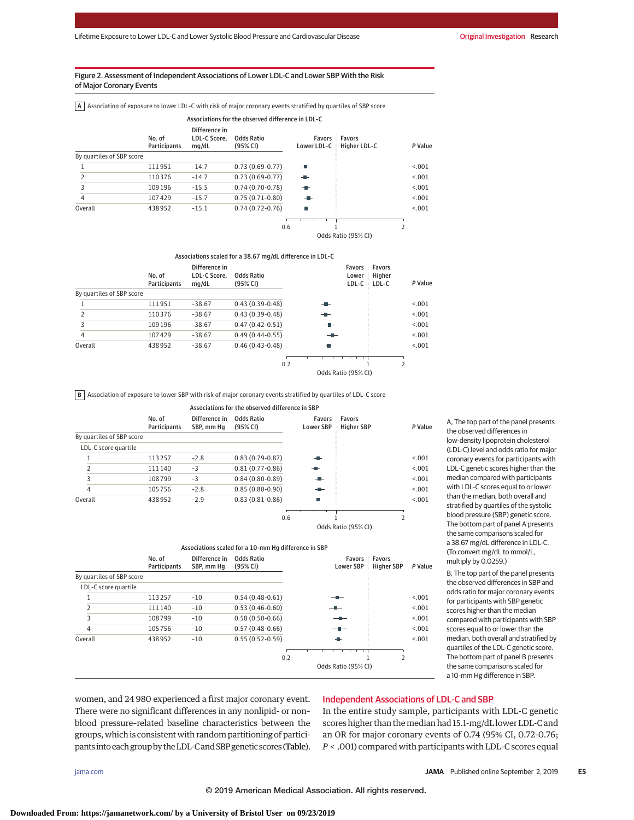#### Figure 2. Assessment of Independent Associations of Lower LDL-C and Lower SBP With the Risk of Major Coronary Events

**A** Association of exposure to lower LDL-C with risk of major coronary events stratified by quartiles of SBP score

|                           |                        |                                        | Associations for the observed difference in LDL-C |                |                                      |         |
|---------------------------|------------------------|----------------------------------------|---------------------------------------------------|----------------|--------------------------------------|---------|
|                           | No. of<br>Participants | Difference in<br>LDL-C Score.<br>mq/dL | <b>Odds Ratio</b><br>(95% CI)                     | Lower LDL-C    | <b>Favors Favors</b><br>Higher LDL-C | P Value |
| By quartiles of SBP score |                        |                                        |                                                   |                |                                      |         |
|                           | 111951                 | $-14.7$                                | $0.73(0.69-0.77)$                                 | $\blacksquare$ |                                      | < 0.01  |
| $\overline{2}$            | 110376                 | $-14.7$                                | $0.73(0.69-0.77)$                                 | ÷              |                                      | < 0.01  |
| 3                         | 109196                 | $-15.5$                                | $0.74(0.70-0.78)$                                 | $-1$           |                                      | < 0.01  |
| 4                         | 107429                 | $-15.7$                                | $0.75(0.71-0.80)$                                 | - 1            |                                      | < 0.01  |
| Overall                   | 438952                 | $-15.1$                                | $0.74(0.72-0.76)$                                 | П              |                                      | < 0.01  |
|                           |                        |                                        | 0.6                                               |                |                                      |         |
|                           |                        |                                        |                                                   |                | Odds Ratio (95% CI)                  |         |

*P* Value Favors Lower LDL-C Favors Higher LDL-C Odds Ratio (95% CI) No. of Participants Difference in LDL-C Score, mg/dL By quartiles of SBP score Odds Ratio (95% CI) 1 0.43 (0.39-0.48) 111951 –38.67 <.001 Overall 0.46 (0.43-0.48) 438952 –38.67 <.001 2 0.43 (0.39-0.48) 110376 –38.67 <.001 3 109196 -38.67 0.47 (0.42-0.51) - - - <.001 4 0.49 (0.44-0.55) 107429 –38.67 <.001 Associations scaled for a 38.67 mg/dL difference in LDL-C  $0.2$  1 2

**B** Association of exposure to lower SBP with risk of major coronary events stratified by quartiles of LDL-C score

0.6 *P* Value Favors Favors Lower SBP Higher SBP 1 2 No. of Participants Difference in Odds Ratio SBP, mm Hg By quartiles of SBP score LDL-C score quartile (95% CI) 1 113257 –2.8 0.83 (0.79-0.87) – He sample and the sample of the sample of the sample of the sample of the sample of the sample of the sample of the sample of the sample of the sample of the sample of the sample of the sam Overall 438952 −2.9 0.83 (0.81-0.86) 438952 <.001 2 0.81 (0.77-0.86) 111140 –3 <.001 3 0.84 (0.80-0.89) 108799 –3 <.001 4 105756 -2.8 0.85 (0.80-0.90) - - c.001 Associations for the observed difference in SBP

Odds Ratio (95% CI)

|                           |                        |                             | Associations scaled for a 10-mm Hg difference in SBP |     |                            |                             |         |
|---------------------------|------------------------|-----------------------------|------------------------------------------------------|-----|----------------------------|-----------------------------|---------|
|                           | No. of<br>Participants | Difference in<br>SBP, mm Hq | Odds Ratio<br>(95% CI)                               |     | Favors<br><b>Lower SBP</b> | Favors<br><b>Higher SBP</b> | P Value |
| By quartiles of SBP score |                        |                             |                                                      |     |                            |                             |         |
| LDL-C score quartile      |                        |                             |                                                      |     |                            |                             |         |
| 1                         | 113257                 | $-10$                       | $0.54(0.48-0.61)$                                    |     | --                         |                             | < 0.01  |
| $\overline{2}$            | 111140                 | $-10$                       | $0.53(0.46-0.60)$                                    | --  |                            |                             | < 0.01  |
| 3                         | 108799                 | $-10$                       | $0.58(0.50-0.66)$                                    |     | $-$                        |                             | < 0.01  |
| $\overline{4}$            | 105756                 | $-10$                       | $0.57(0.48-0.66)$                                    |     | --                         |                             | < 0.01  |
| Overall                   | 438952                 | $-10$                       | $0.55(0.52-0.59)$                                    |     | ÷                          |                             | < 0.01  |
|                           |                        |                             |                                                      | 0.2 |                            | 2                           |         |
|                           |                        |                             |                                                      |     | Odds Ratio (95% CI)        |                             |         |

A, The top part of the panel presents the observed differences in low-density lipoprotein cholesterol (LDL-C) level and odds ratio for major coronary events for participants with LDL-C genetic scores higher than the median compared with participants with LDL-C scores equal to or lower than the median, both overall and stratified by quartiles of the systolic blood pressure (SBP) genetic score. The bottom part of panel A presents the same comparisons scaled for a 38.67 mg/dL difference in LDL-C. (To convert mg/dL to mmol/L, multiply by 0.0259.)

B, The top part of the panel presents the observed differences in SBP and odds ratio for major coronary events for participants with SBP genetic scores higher than the median compared with participants with SBP scores equal to or lower than the median, both overall and stratified by quartiles of the LDL-C genetic score. The bottom part of panel B presents the same comparisons scaled for a 10-mm Hg difference in SBP.

women, and 24 980 experienced a first major coronary event. There were no significant differences in any nonlipid- or non– blood pressure–related baseline characteristics between the groups, which is consistent with random partitioning of participants into each group by the LDL-C and SBP genetic scores (Table).

## Independent Associations of LDL-C and SBP

In the entire study sample, participants with LDL-C genetic scores higher than themedian had 15.1-mg/dL lower LDL-C and an OR for major coronary events of 0.74 (95% CI, 0.72-0.76; *P* < .001) compared with participants with LDL-C scores equal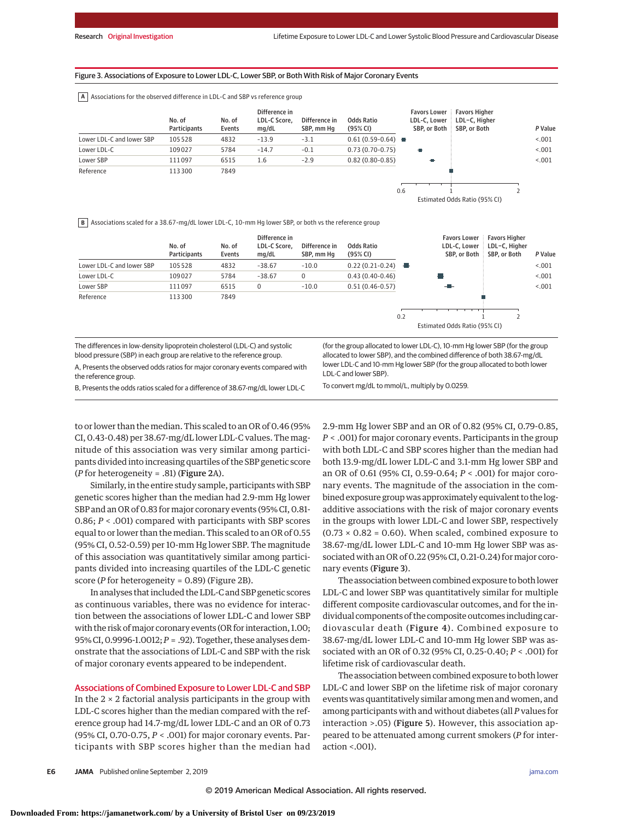#### Figure 3. Associations of Exposure to Lower LDL-C, Lower SBP, or Both With Risk of Major Coronary Events

**A** Associations for the observed difference in LDL-C and SBP vs reference group

|                           | No. of<br><b>Participants</b> | No. of<br>Events | Difference in<br>LDL-C Score.<br>mq/dL | Difference in<br>SBP. mm Ha | <b>Odds Ratio</b><br>(95% CI) | <b>Favors Lower</b><br>LDL-C. Lower<br>SBP, or Both | <b>Favors Higher</b><br>LDL-C, Higher<br>SBP, or Both | P Value |
|---------------------------|-------------------------------|------------------|----------------------------------------|-----------------------------|-------------------------------|-----------------------------------------------------|-------------------------------------------------------|---------|
| Lower LDL-C and lower SBP | 105528                        | 4832             | $-13.9$                                | $-3.1$                      | $0.61(0.59-0.64)$             |                                                     |                                                       | < 001   |
| Lower LDL-C               | 109027                        | 5784             | $-14.7$                                | $-0.1$                      | $0.73(0.70-0.75)$             | Ð                                                   |                                                       | < 0.001 |
| Lower SBP                 | 111097                        | 6515             | 1.6                                    | $-2.9$                      | $0.82(0.80 - 0.85)$           | ÷                                                   |                                                       | < 0.001 |
| Reference                 | 113300                        | 7849             |                                        |                             |                               |                                                     |                                                       |         |
|                           |                               |                  |                                        |                             |                               | 0.6                                                 |                                                       |         |

Estimated Odds Ratio (95% CI)

**B** Associations scaled for a 38.67-mg/dL lower LDL-C, 10-mm Hg lower SBP, or both vs the reference group

|                           | No. of<br><b>Participants</b> | No. of<br>Events | Difference in<br>LDL-C Score.<br>mq/dL | Difference in<br>SBP, mm Hq | <b>Odds Ratio</b><br>(95% CI) |     | <b>Favors Lower</b><br>LDL-C. Lower | <b>Favors Higher</b><br>LDL-C. Higher<br>SBP, or Both SBP, or Both | P Value |
|---------------------------|-------------------------------|------------------|----------------------------------------|-----------------------------|-------------------------------|-----|-------------------------------------|--------------------------------------------------------------------|---------|
| Lower LDL-C and lower SBP | 105528                        | 4832             | $-38.67$                               | $-10.0$                     | $0.22(0.21-0.24)$             |     |                                     |                                                                    | < 0.001 |
| Lower LDL-C               | 109027                        | 5784             | $-38.67$                               | 0                           | $0.43(0.40-0.46)$             |     |                                     |                                                                    | < 0.01  |
| Lower SBP                 | 111097                        | 6515             | 0                                      | $-10.0$                     | $0.51(0.46 - 0.57)$           |     | - -                                 |                                                                    | < 0.01  |
| Reference                 | 113300                        | 7849             |                                        |                             |                               |     |                                     |                                                                    |         |
|                           |                               |                  |                                        |                             |                               |     |                                     |                                                                    |         |
|                           |                               |                  |                                        |                             |                               | 0.2 |                                     |                                                                    |         |

Estimated Odds Ratio (95% CI)

The differences in low-density lipoprotein cholesterol (LDL-C) and systolic blood pressure (SBP) in each group are relative to the reference group.

A, Presents the observed odds ratios for major coronary events compared with the reference group.

lower LDL-C and 10-mm Hg lower SBP (for the group allocated to both lower LDL-C and lower SBP). To convert mg/dL to mmol/L, multiply by 0.0259.

(for the group allocated to lower LDL-C), 10-mm Hg lower SBP (for the group allocated to lower SBP), and the combined difference of both 38.67-mg/dL

B, Presents the odds ratios scaled for a difference of 38.67-mg/dL lower LDL-C

to or lower than the median. This scaled to an OR of 0.46 (95% CI, 0.43-0.48) per 38.67-mg/dL lower LDL-C values. The magnitude of this association was very similar among participants divided into increasing quartiles of the SBP genetic score (*P* for heterogeneity = .81) (Figure 2A).

Similarly, in the entire study sample, participants with SBP genetic scores higher than the median had 2.9-mm Hg lower SBP and an OR of 0.83 for major coronary events (95% CI, 0.81- 0.86; *P* < .001) compared with participants with SBP scores equal to or lower than the median. This scaled to an OR of 0.55 (95% CI, 0.52-0.59) per 10-mm Hg lower SBP. The magnitude of this association was quantitatively similar among participants divided into increasing quartiles of the LDL-C genetic score (*P* for heterogeneity = 0.89) (Figure 2B).

In analyses that included the LDL-C and SBP genetic scores as continuous variables, there was no evidence for interaction between the associations of lower LDL-C and lower SBP with the risk of major coronary events (OR for interaction, 1.00; 95% CI, 0.9996-1.0012;*P* = .92). Together, these analyses demonstrate that the associations of LDL-C and SBP with the risk of major coronary events appeared to be independent.

#### Associations of Combined Exposure to Lower LDL-C and SBP

In the  $2 \times 2$  factorial analysis participants in the group with LDL-C scores higher than the median compared with the reference group had 14.7-mg/dL lower LDL-C and an OR of 0.73 (95% CI, 0.70-0.75, *P* < .001) for major coronary events. Participants with SBP scores higher than the median had 2.9-mm Hg lower SBP and an OR of 0.82 (95% CI, 0.79-0.85, *P* < .001) for major coronary events. Participants in the group with both LDL-C and SBP scores higher than the median had both 13.9-mg/dL lower LDL-C and 3.1-mm Hg lower SBP and an OR of 0.61 (95% CI, 0.59-0.64; *P* < .001) for major coronary events. The magnitude of the association in the combined exposure group was approximately equivalent to the logadditive associations with the risk of major coronary events in the groups with lower LDL-C and lower SBP, respectively  $(0.73 \times 0.82 = 0.60)$ . When scaled, combined exposure to 38.67-mg/dL lower LDL-C and 10-mm Hg lower SBP was associated with an OR of 0.22 (95% CI, 0.21-0.24) for major coronary events (Figure 3).

The association between combined exposure to both lower LDL-C and lower SBP was quantitatively similar for multiple different composite cardiovascular outcomes, and for the individual components of the composite outcomes including cardiovascular death (Figure 4). Combined exposure to 38.67-mg/dL lower LDL-C and 10-mm Hg lower SBP was associated with an OR of 0.32 (95% CI, 0.25-0.40; *P* < .001) for lifetime risk of cardiovascular death.

The association between combined exposure to both lower LDL-C and lower SBP on the lifetime risk of major coronary events was quantitatively similar amongmen and women, and among participants with and without diabetes (all *P* values for interaction >.05) (Figure 5). However, this association appeared to be attenuated among current smokers (*P* for interaction <.001).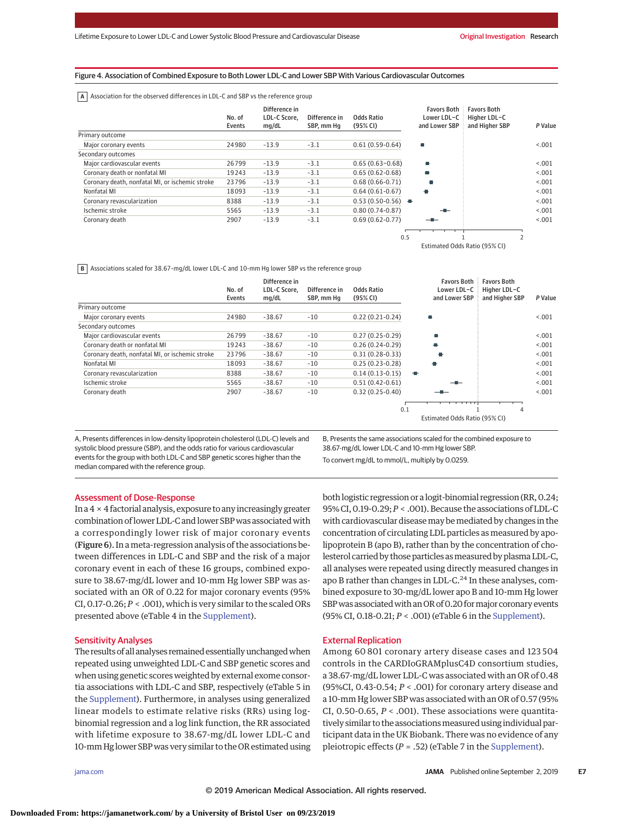#### Figure 4. Association of Combined Exposure to Both Lower LDL-C and Lower SBP With Various Cardiovascular Outcomes

**A** Association for the observed differences in LDL-C and SBP vs the reference group

|                                                 | No. of<br>Events | Difference in<br>LDL-C Score.<br>mq/dL | Difference in<br>SBP, mm Hq | <b>Odds Ratio</b><br>(95% CI) | <b>Favors Both</b><br>Lower LDL-C<br>and Lower SBP | <b>Favors Both</b><br>Higher LDL-C<br>and Higher SBP | P Value |
|-------------------------------------------------|------------------|----------------------------------------|-----------------------------|-------------------------------|----------------------------------------------------|------------------------------------------------------|---------|
| Primary outcome                                 |                  |                                        |                             |                               |                                                    |                                                      |         |
| Major coronary events                           | 24980            | $-13.9$                                | $-3.1$                      | $0.61(0.59-0.64)$             | П                                                  |                                                      | < 0.001 |
| Secondary outcomes                              |                  |                                        |                             |                               |                                                    |                                                      |         |
| Major cardiovascular events                     | 26799            | $-13.9$                                | $-3.1$                      | $0.65(0.63 - 0.68)$           | г                                                  |                                                      | < 0.001 |
| Coronary death or nonfatal MI                   | 19243            | $-13.9$                                | $-3.1$                      | $0.65(0.62 - 0.68)$           | ۰.                                                 |                                                      | < 0.001 |
| Coronary death, nonfatal MI, or ischemic stroke | 23796            | $-13.9$                                | $-3.1$                      | $0.68(0.66 - 0.71)$           |                                                    |                                                      | < 0.001 |
| Nonfatal MI                                     | 18093            | $-13.9$                                | $-3.1$                      | $0.64(0.61-0.67)$             | o                                                  |                                                      | < 0.001 |
| Coronary revascularization                      | 8388             | $-13.9$                                | $-3.1$                      | $0.53(0.50-0.56)$             |                                                    |                                                      | < 0.001 |
| Ischemic stroke                                 | 5565             | $-13.9$                                | $-3.1$                      | $0.80(0.74 - 0.87)$           |                                                    |                                                      | < 0.001 |
| Coronary death                                  | 2907             | $-13.9$                                | $-3.1$                      | $0.69(0.62 - 0.77)$           |                                                    |                                                      | < 0.001 |
|                                                 |                  |                                        |                             | 0.5                           |                                                    |                                                      |         |

Estimated Odds Ratio (95% CI)

**B** Associations scaled for 38.67-mg/dL lower LDL-C and 10-mm Hg lower SBP vs the reference group

|                                                 | No. of<br>Events | Difference in<br>LDL-C Score.<br>mq/dL | Difference in<br>SBP, mm Hq | <b>Odds Ratio</b><br>(95% CI) | <b>Favors Both</b><br>Lower LDL-C<br>and Lower SBP | <b>Favors Both</b><br>Higher LDL-C<br>and Higher SBP | P Value |
|-------------------------------------------------|------------------|----------------------------------------|-----------------------------|-------------------------------|----------------------------------------------------|------------------------------------------------------|---------|
| Primary outcome                                 |                  |                                        |                             |                               |                                                    |                                                      |         |
| Major coronary events                           | 24980            | $-38.67$                               | $-10$                       | $0.22(0.21-0.24)$             |                                                    |                                                      | < 0.001 |
| Secondary outcomes                              |                  |                                        |                             |                               |                                                    |                                                      |         |
| Major cardiovascular events                     | 26799            | $-38.67$                               | $-10$                       | $0.27(0.25-0.29)$             | o                                                  |                                                      | < 0.001 |
| Coronary death or nonfatal MI                   | 19243            | $-38.67$                               | $-10$                       | $0.26(0.24-0.29)$             | ÷                                                  |                                                      | < 0.001 |
| Coronary death, nonfatal MI, or ischemic stroke | 23796            | $-38.67$                               | $-10$                       | $0.31(0.28-0.33)$             |                                                    |                                                      | < 0.001 |
| Nonfatal MI                                     | 18093            | $-38.67$                               | $-10$                       | $0.25(0.23-0.28)$             |                                                    |                                                      | < 0.001 |
| Coronary revascularization                      | 8388             | $-38.67$                               | $-10$                       | $0.14(0.13-0.15)$             | ÷                                                  |                                                      | < 0.001 |
| Ischemic stroke                                 | 5565             | $-38.67$                               | $-10$                       | $0.51(0.42 - 0.61)$           |                                                    |                                                      | < 0.001 |
| Coronary death                                  | 2907             | $-38.67$                               | $-10$                       | $0.32(0.25-0.40)$             |                                                    |                                                      | < 0.001 |
|                                                 |                  |                                        |                             |                               |                                                    |                                                      |         |
|                                                 |                  |                                        |                             | 0.1                           |                                                    | 4                                                    |         |
|                                                 |                  |                                        |                             |                               | Estimated Odds Ratio (95% CI)                      |                                                      |         |

A, Presents differences in low-density lipoprotein cholesterol (LDL-C) levels and systolic blood pressure (SBP), and the odds ratio for various cardiovascular events for the group with both LDL-C and SBP genetic scores higher than the median compared with the reference group.

B, Presents the same associations scaled for the combined exposure to 38.67-mg/dL lower LDL-C and 10-mm Hg lower SBP. To convert mg/dL to mmol/L, multiply by 0.0259.

#### Assessment of Dose-Response

In a  $4 \times 4$  factorial analysis, exposure to any increasingly greater combination of lower LDL-C and lower SBP was associated with a correspondingly lower risk of major coronary events (Figure 6). In ameta-regression analysis of the associations between differences in LDL-C and SBP and the risk of a major coronary event in each of these 16 groups, combined exposure to 38.67-mg/dL lower and 10-mm Hg lower SBP was associated with an OR of 0.22 for major coronary events (95% CI, 0.17-0.26; *P* < .001), which is very similar to the scaled ORs presented above (eTable 4 in the [Supplement\)](https://jama.jamanetwork.com/article.aspx?doi=10.1001/jama.2019.14120&utm_campaign=articlePDF%26utm_medium=articlePDFlink%26utm_source=articlePDF%26utm_content=jama.2019.14120).

### Sensitivity Analyses

The results of all analyses remained essentially unchanged when repeated using unweighted LDL-C and SBP genetic scores and when using genetic scores weighted by external exome consortia associations with LDL-C and SBP, respectively (eTable 5 in the [Supplement\)](https://jama.jamanetwork.com/article.aspx?doi=10.1001/jama.2019.14120&utm_campaign=articlePDF%26utm_medium=articlePDFlink%26utm_source=articlePDF%26utm_content=jama.2019.14120). Furthermore, in analyses using generalized linear models to estimate relative risks (RRs) using logbinomial regression and a log link function, the RR associated with lifetime exposure to 38.67-mg/dL lower LDL-C and 10-mm Hg lower SBPwas very similar to the OR estimated using

both logistic regression or a logit-binomial regression (RR, 0.24; 95% CI, 0.19-0.29;*P* < .001). Because the associations of LDL-C with cardiovascular diseasemay bemediated by changes in the concentration of circulating LDL particles as measured by apolipoprotein B (apo B), rather than by the concentration of cholesterol carried by those particles as measured by plasma LDL-C, all analyses were repeated using directly measured changes in apo B rather than changes in LDL-C.<sup>24</sup> In these analyses, combined exposure to 30-mg/dL lower apo B and 10-mm Hg lower SBP was associated with an OR of 0.20 for major coronary events (95% CI, 0.18-0.21; *P* < .001) (eTable 6 in the [Supplement\)](https://jama.jamanetwork.com/article.aspx?doi=10.1001/jama.2019.14120&utm_campaign=articlePDF%26utm_medium=articlePDFlink%26utm_source=articlePDF%26utm_content=jama.2019.14120).

#### External Replication

Among 60 801 coronary artery disease cases and 123 504 controls in the CARDIoGRAMplusC4D consortium studies, a 38.67-mg/dL lower LDL-C was associated with an OR of 0.48 (95%CI, 0.43-0.54; *P* < .001) for coronary artery disease and a 10-mm Hg lower SBP was associated with an OR of 0.57 (95% CI, 0.50-0.65, *P* < .001). These associations were quantitatively similar to the associations measured using individual participant data in the UK Biobank. There was no evidence of any pleiotropic effects (*P* = .52) (eTable 7 in the [Supplement\)](https://jama.jamanetwork.com/article.aspx?doi=10.1001/jama.2019.14120&utm_campaign=articlePDF%26utm_medium=articlePDFlink%26utm_source=articlePDF%26utm_content=jama.2019.14120).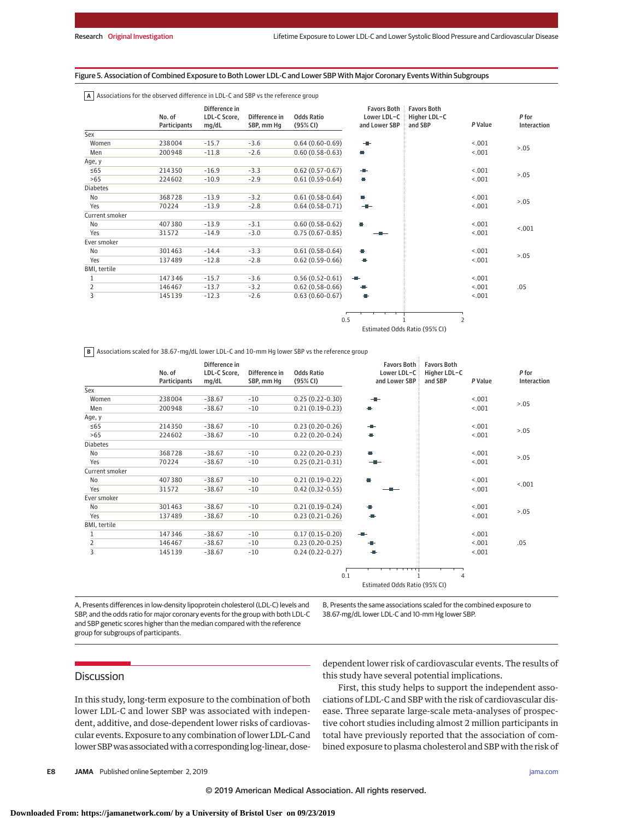#### Figure 5. Association of Combined Exposure to Both Lower LDL-C and Lower SBP With Major Coronary Events Within Subgroups

|  | $\vert$ A   Associations for the observed difference in LDL-C and SBP vs the reference group |
|--|----------------------------------------------------------------------------------------------|
|--|----------------------------------------------------------------------------------------------|

|                 | No. of<br>Participants | Difference in<br>LDL-C Score,<br>mg/dL | Difference in<br>SBP, mm Hq | <b>Odds Ratio</b><br>(95% CI) | <b>Favors Both</b><br>Lower LDL-C<br>and Lower SBP | <b>Favors Both</b><br>Higher LDL-C<br>and SBP | P Value        | P for<br>Interaction |
|-----------------|------------------------|----------------------------------------|-----------------------------|-------------------------------|----------------------------------------------------|-----------------------------------------------|----------------|----------------------|
| Sex             |                        |                                        |                             |                               |                                                    |                                               |                |                      |
| Women           | 238004                 | $-15.7$                                | $-3.6$                      | $0.64(0.60-0.69)$             | $\blacksquare$                                     |                                               | < .001         | > 0.05               |
| Men             | 200948                 | $-11.8$                                | $-2.6$                      | $0.60(0.58-0.63)$             | e.                                                 |                                               | < .001         |                      |
| Age, y          |                        |                                        |                             |                               |                                                    |                                               |                |                      |
| $\leq 65$       | 214350                 | $-16.9$                                | $-3.3$                      | $0.62(0.57-0.67)$             | ÷                                                  |                                               | < .001         |                      |
| >65             | 224602                 | $-10.9$                                | $-2.9$                      | $0.61(0.59-0.64)$             | o                                                  |                                               | < .001         | > 0.05               |
| <b>Diabetes</b> |                        |                                        |                             |                               |                                                    |                                               |                |                      |
| No              | 368728                 | $-13.9$                                | $-3.2$                      | $0.61(0.58-0.64)$             | L.                                                 |                                               | < .001         |                      |
| Yes             | 70224                  | $-13.9$                                | $-2.8$                      | $0.64(0.58-0.71)$             | $-1$                                               |                                               | < .001         | > 0.05               |
| Current smoker  |                        |                                        |                             |                               |                                                    |                                               |                |                      |
| No              | 407380                 | $-13.9$                                | $-3.1$                      | $0.60(0.58-0.62)$             | H                                                  |                                               | < .001         |                      |
| Yes             | 31572                  | $-14.9$                                | $-3.0$                      | $0.75(0.67-0.85)$             |                                                    |                                               | < .001         | < .001               |
| Ever smoker     |                        |                                        |                             |                               |                                                    |                                               |                |                      |
| No              | 301463                 | $-14.4$                                | $-3.3$                      | $0.61(0.58-0.64)$             | e.                                                 |                                               | < .001         |                      |
| Yes             | 137489                 | $-12.8$                                | $-2.8$                      | $0.62(0.59-0.66)$             | ÷                                                  |                                               | < .001         | > 0.05               |
| BMI, tertile    |                        |                                        |                             |                               |                                                    |                                               |                |                      |
| 1               | 147346                 | $-15.7$                                | $-3.6$                      | $0.56(0.52-0.61)$             | -11-                                               |                                               | < .001         |                      |
| $\overline{2}$  | 146467                 | $-13.7$                                | $-3.2$                      | $0.62(0.58-0.66)$             | ÷                                                  |                                               | < .001         | .05                  |
| 3               | 145139                 | $-12.3$                                | $-2.6$                      | $0.63(0.60-0.67)$             | œ                                                  |                                               | < .001         |                      |
|                 |                        |                                        |                             |                               | 0.5                                                |                                               | $\overline{2}$ |                      |

Estimated Odds Ratio (95% CI)

**B** Associations scaled for 38.67-mg/dL lower LDL-C and 10-mm Hg lower SBP vs the reference group

|                 | No. of<br>Participants | Difference in<br>LDL-C Score,<br>mg/dL | Difference in<br>SBP, mm Hg | <b>Odds Ratio</b><br>(95% CI) | <b>Favors Both</b><br>Lower LDL-C<br>and Lower SBP | <b>Favors Both</b><br>Higher LDL-C<br>and SBP | P Value | P for<br>Interaction |
|-----------------|------------------------|----------------------------------------|-----------------------------|-------------------------------|----------------------------------------------------|-----------------------------------------------|---------|----------------------|
| Sex             |                        |                                        |                             |                               |                                                    |                                               |         |                      |
| Women           | 238004                 | $-38.67$                               | $-10$                       | $0.25(0.22-0.30)$             |                                                    |                                               | < .001  | > 0.05               |
| Men             | 200948                 | $-38.67$                               | $-10$                       | $0.21(0.19-0.23)$             |                                                    |                                               | < .001  |                      |
| Age, y          |                        |                                        |                             |                               |                                                    |                                               |         |                      |
| $\leq 65$       | 214350                 | $-38.67$                               | $-10$                       | $0.23(0.20-0.26)$             | -10-                                               |                                               | < .001  |                      |
| >65             | 224602                 | $-38.67$                               | $-10$                       | $0.22(0.20-0.24)$             | ÷                                                  |                                               | < .001  | > 0.05               |
| <b>Diabetes</b> |                        |                                        |                             |                               |                                                    |                                               |         |                      |
| <b>No</b>       | 368728                 | $-38.67$                               | $-10$                       | $0.22(0.20-0.23)$             | ÷                                                  |                                               | < .001  | > 0.05               |
| Yes             | 70224                  | $-38.67$                               | $-10$                       | $0.25(0.21-0.31)$             |                                                    |                                               | < .001  |                      |
| Current smoker  |                        |                                        |                             |                               |                                                    |                                               |         |                      |
| No              | 407380                 | $-38.67$                               | $-10$                       | $0.21(0.19-0.22)$             | ÷                                                  |                                               | < .001  | < .001               |
| Yes             | 31572                  | $-38.67$                               | $-10$                       | $0.42(0.32-0.55)$             |                                                    |                                               | < .001  |                      |
| Ever smoker     |                        |                                        |                             |                               |                                                    |                                               |         |                      |
| <b>No</b>       | 301463                 | $-38.67$                               | $-10$                       | $0.21(0.19-0.24)$             | æ.                                                 |                                               | < .001  | > 0.05               |
| Yes             | 137489                 | $-38.67$                               | $-10$                       | $0.23(0.21-0.26)$             | - 1                                                |                                               | < .001  |                      |
| BMI, tertile    |                        |                                        |                             |                               |                                                    |                                               |         |                      |
| 1               | 147346                 | $-38.67$                               | $-10$                       | $0.17(0.15-0.20)$             | - -                                                |                                               | < .001  |                      |
| $\frac{2}{3}$   | 146467                 | $-38.67$                               | $-10$                       | $0.23(0.20-0.25)$             |                                                    |                                               | < .001  | .05                  |
|                 | 145 139                | $-38.67$                               | $-10$                       | $0.24(0.22-0.27)$             |                                                    |                                               | < .001  |                      |
|                 |                        |                                        |                             |                               |                                                    |                                               |         |                      |
|                 |                        |                                        |                             | 0.1                           |                                                    | 4                                             |         |                      |
|                 |                        |                                        |                             |                               | Estimated Odds Ratio (95% CI)                      |                                               |         |                      |

A, Presents differences in low-density lipoprotein cholesterol (LDL-C) levels and SBP, and the odds ratio for major coronary events for the group with both LDL-C and SBP genetic scores higher than the median compared with the reference group for subgroups of participants.

B, Presents the same associations scaled for the combined exposure to 38.67-mg/dL lower LDL-C and 10-mm Hg lower SBP.

## **Discussion**

In this study, long-term exposure to the combination of both lower LDL-C and lower SBP was associated with independent, additive, and dose-dependent lower risks of cardiovascular events. Exposure to any combination of lower LDL-C and lower SBP was associated with a corresponding log-linear, dosedependent lower risk of cardiovascular events. The results of this study have several potential implications.

First, this study helps to support the independent associations of LDL-C and SBP with the risk of cardiovascular disease. Three separate large-scale meta-analyses of prospective cohort studies including almost 2 million participants in total have previously reported that the association of combined exposure to plasma cholesterol and SBP with the risk of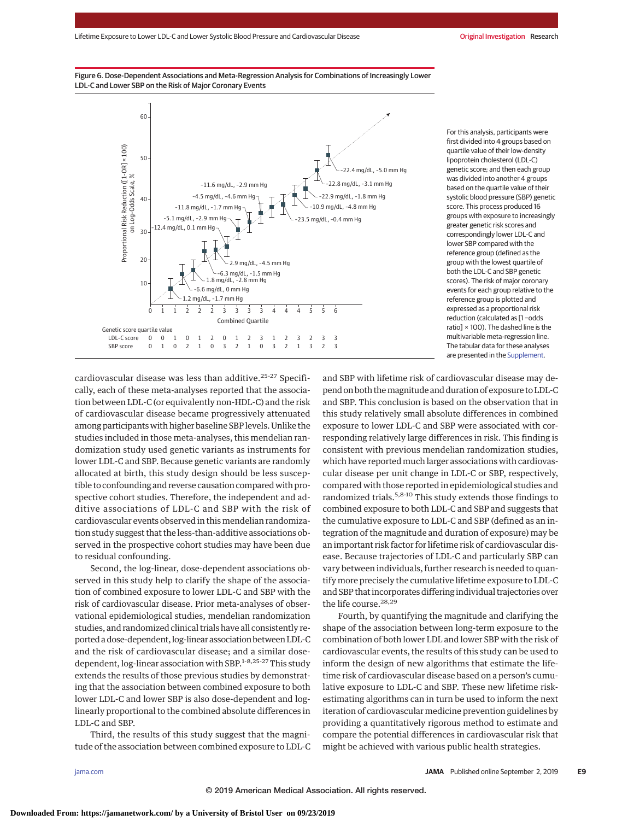



For this analysis, participants were first divided into 4 groups based on quartile value of their low-density lipoprotein cholesterol (LDL-C) genetic score; and then each group was divided into another 4 groups based on the quartile value of their systolic blood pressure (SBP) genetic score. This process produced 16 groups with exposure to increasingly greater genetic risk scores and correspondingly lower LDL-C and lower SBP compared with the reference group (defined as the group with the lowest quartile of both the LDL-C and SBP genetic scores). The risk of major coronary events for each group relative to the reference group is plotted and expressed as a proportional risk reduction (calculated as [1 −odds ratio] × 100). The dashed line is the multivariable meta-regression line. The tabular data for these analyses are presented in the [Supplement.](https://jama.jamanetwork.com/article.aspx?doi=10.1001/jama.2019.14120&utm_campaign=articlePDF%26utm_medium=articlePDFlink%26utm_source=articlePDF%26utm_content=jama.2019.14120)

cardiovascular disease was less than additive.25-27 Specifically, each of these meta-analyses reported that the association between LDL-C (or equivalently non-HDL-C) and the risk of cardiovascular disease became progressively attenuated among participants with higher baseline SBP levels. Unlike the studies included in those meta-analyses, this mendelian randomization study used genetic variants as instruments for lower LDL-C and SBP. Because genetic variants are randomly allocated at birth, this study design should be less susceptible to confounding and reverse causation compared with prospective cohort studies. Therefore, the independent and additive associations of LDL-C and SBP with the risk of cardiovascular events observed in this mendelian randomization study suggest that the less-than-additive associations observed in the prospective cohort studies may have been due to residual confounding.

Second, the log-linear, dose-dependent associations observed in this study help to clarify the shape of the association of combined exposure to lower LDL-C and SBP with the risk of cardiovascular disease. Prior meta-analyses of observational epidemiological studies, mendelian randomization studies, and randomized clinical trials have all consistently reported a dose-dependent, log-linear association between LDL-C and the risk of cardiovascular disease; and a similar dosedependent,  $log$ -linear association with SBP.<sup>1-8,25-27</sup> This study extends the results of those previous studies by demonstrating that the association between combined exposure to both lower LDL-C and lower SBP is also dose-dependent and loglinearly proportional to the combined absolute differences in LDL-C and SBP.

Third, the results of this study suggest that the magnitude of the association between combined exposure to LDL-C and SBP with lifetime risk of cardiovascular disease may depend on both themagnitude and duration of exposure to LDL-C and SBP. This conclusion is based on the observation that in this study relatively small absolute differences in combined exposure to lower LDL-C and SBP were associated with corresponding relatively large differences in risk. This finding is consistent with previous mendelian randomization studies, which have reported much larger associations with cardiovascular disease per unit change in LDL-C or SBP, respectively, compared with those reported in epidemiological studies and randomized trials.5,8-10 This study extends those findings to combined exposure to both LDL-C and SBP and suggests that the cumulative exposure to LDL-C and SBP (defined as an integration of the magnitude and duration of exposure) may be an important risk factor for lifetime risk of cardiovascular disease. Because trajectories of LDL-C and particularly SBP can vary between individuals, further research is needed to quantify more precisely the cumulative lifetime exposure to LDL-C and SBP that incorporates differing individual trajectories over the life course.<sup>28,29</sup>

Fourth, by quantifying the magnitude and clarifying the shape of the association between long-term exposure to the combination of both lower LDL and lower SBP with the risk of cardiovascular events, the results of this study can be used to inform the design of new algorithms that estimate the lifetime risk of cardiovascular disease based on a person's cumulative exposure to LDL-C and SBP. These new lifetime riskestimating algorithms can in turn be used to inform the next iteration of cardiovascular medicine prevention guidelines by providing a quantitatively rigorous method to estimate and compare the potential differences in cardiovascular risk that might be achieved with various public health strategies.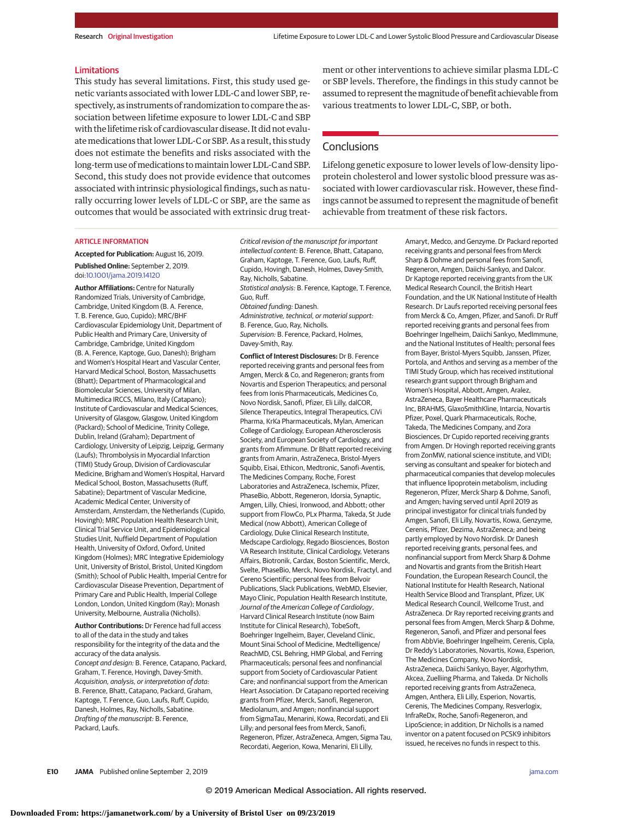#### **Limitations**

This study has several limitations. First, this study used genetic variants associated with lower LDL-C and lower SBP, respectively, as instruments of randomization to compare the association between lifetime exposure to lower LDL-C and SBP with the lifetime risk of cardiovascular disease. It did not evaluatemedications that lower LDL-C or SBP. As a result, this study does not estimate the benefits and risks associated with the long-term use of medications to maintain lower LDL-C and SBP. Second, this study does not provide evidence that outcomes associated with intrinsic physiological findings, such as naturally occurring lower levels of LDL-C or SBP, are the same as outcomes that would be associated with extrinsic drug treatment or other interventions to achieve similar plasma LDL-C or SBP levels. Therefore, the findings in this study cannot be assumed to represent the magnitude of benefit achievable from various treatments to lower LDL-C, SBP, or both.

## **Conclusions**

Lifelong genetic exposure to lower levels of low-density lipoprotein cholesterol and lower systolic blood pressure was associated with lower cardiovascular risk. However, these findings cannot be assumed to represent the magnitude of benefit achievable from treatment of these risk factors.

#### ARTICLE INFORMATION

**Accepted for Publication:** August 16, 2019. **Published Online:** September 2, 2019. doi[:10.1001/jama.2019.14120](https://jama.jamanetwork.com/article.aspx?doi=10.1001/jama.2019.14120&utm_campaign=articlePDF%26utm_medium=articlePDFlink%26utm_source=articlePDF%26utm_content=jama.2019.14120)

**Author Affiliations:** Centre for Naturally Randomized Trials, University of Cambridge, Cambridge, United Kingdom (B. A. Ference, T. B. Ference, Guo, Cupido); MRC/BHF Cardiovascular Epidemiology Unit, Department of Public Health and Primary Care, University of Cambridge, Cambridge, United Kingdom (B. A. Ference, Kaptoge, Guo, Danesh); Brigham and Women's Hospital Heart and Vascular Center, Harvard Medical School, Boston, Massachusetts (Bhatt); Department of Pharmacological and Biomolecular Sciences, University of Milan, Multimedica IRCCS, Milano, Italy (Catapano); Institute of Cardiovascular and Medical Sciences, University of Glasgow, Glasgow, United Kingdom (Packard); School of Medicine, Trinity College, Dublin, Ireland (Graham); Department of Cardiology, University of Leipzig, Leipzig, Germany (Laufs); Thrombolysis in Myocardial Infarction (TIMI) Study Group, Division of Cardiovascular Medicine, Brigham and Women's Hospital, Harvard Medical School, Boston, Massachusetts (Ruff, Sabatine); Department of Vascular Medicine, Academic Medical Center, University of Amsterdam, Amsterdam, the Netherlands (Cupido, Hovingh); MRC Population Health Research Unit, Clinical Trial Service Unit, and Epidemiological Studies Unit, Nuffield Department of Population Health, University of Oxford, Oxford, United Kingdom (Holmes); MRC Integrative Epidemiology Unit, University of Bristol, Bristol, United Kingdom (Smith); School of Public Health, Imperial Centre for Cardiovascular Disease Prevention, Department of Primary Care and Public Health, Imperial College London, London, United Kingdom (Ray); Monash University, Melbourne, Australia (Nicholls).

**Author Contributions:** Dr Ference had full access to all of the data in the study and takes responsibility for the integrity of the data and the accuracy of the data analysis. Concept and design: B. Ference, Catapano, Packard, Graham, T. Ference, Hovingh, Davey-Smith. Acquisition, analysis, or interpretation of data: B. Ference, Bhatt, Catapano, Packard, Graham, Kaptoge, T. Ference, Guo, Laufs, Ruff, Cupido, Danesh, Holmes, Ray, Nicholls, Sabatine. Drafting of the manuscript: B. Ference, Packard, Laufs.

Critical revision of the manuscript for important intellectual content: B. Ference, Bhatt, Catapano, Graham, Kaptoge, T. Ference, Guo, Laufs, Ruff, Cupido, Hovingh, Danesh, Holmes, Davey-Smith, Ray, Nicholls, Sabatine. Statistical analysis: B. Ference, Kaptoge, T. Ference, Guo, Ruff. Obtained funding: Danesh. Administrative, technical, or material support: B. Ference, Guo, Ray, Nicholls. Supervision: B. Ference, Packard, Holmes, Davey-Smith, Ray.

**Conflict of Interest Disclosures:** Dr B. Ference reported receiving grants and personal fees from Amgen, Merck & Co, and Regeneron; grants from Novartis and Esperion Therapeutics; and personal fees from Ionis Pharmaceuticals, Medicines Co, Novo Nordisk, Sanofi, Pfizer, Eli Lilly, dalCOR, Silence Therapeutics, Integral Therapeutics, CiVi Pharma, KrKa Pharmaceuticals, Mylan, American College of Cardiology, European Atherosclerosis Society, and European Society of Cardiology, and grants from Afimmune. Dr Bhatt reported receiving grants from Amarin, AstraZeneca, Bristol-Myers Squibb, Eisai, Ethicon, Medtronic, Sanofi-Aventis, The Medicines Company, Roche, Forest Laboratories and AstraZeneca, Ischemix, Pfizer, PhaseBio, Abbott, Regeneron, Idorsia, Synaptic, Amgen, Lilly, Chiesi, Ironwood, and Abbott; other support from FlowCo, PLx Pharma, Takeda, St Jude Medical (now Abbott), American College of Cardiology, Duke Clinical Research Institute, Medscape Cardiology, Regado Biosciences, Boston VA Research Institute, Clinical Cardiology, Veterans Affairs, Biotronik, Cardax, Boston Scientific, Merck, Svelte, PhaseBio, Merck, Novo Nordisk, Fractyl, and Cereno Scientific; personal fees from Belvoir Publications, Slack Publications, WebMD, Elsevier, Mayo Clinic, Population Health Research Institute, Journal of the American College of Cardiology, Harvard Clinical Research Institute (now Baim Institute for Clinical Research), TobeSoft, Boehringer Ingelheim, Bayer, Cleveland Clinic, Mount Sinai School of Medicine, Medtelligence/ ReachMD, CSL Behring, HMP Global, and Ferring Pharmaceuticals; personal fees and nonfinancial support from Society of Cardiovascular Patient Care; and nonfinancial support from the American Heart Association. Dr Catapano reported receiving grants from Pfizer, Merck, Sanofi, Regeneron, Mediolanum, and Amgen; nonfinancial support from SigmaTau, Menarini, Kowa, Recordati, and Eli Lilly; and personal fees from Merck, Sanofi, Regeneron, Pfizer, AstraZeneca, Amgen, Sigma Tau, Recordati, Aegerion, Kowa, Menarini, Eli Lilly,

Amaryt, Medco, and Genzyme. Dr Packard reported receiving grants and personal fees from Merck Sharp & Dohme and personal fees from Sanofi, Regeneron, Amgen, Daiichi-Sankyo, and Dalcor. Dr Kaptoge reported receiving grants from the UK Medical Research Council, the British Heart Foundation, and the UK National Institute of Health Research. Dr Laufs reported receiving personal fees from Merck & Co, Amgen, Pfizer, and Sanofi. Dr Ruff reported receiving grants and personal fees from Boehringer Ingelheim, Daiichi Sankyo, MedImmune, and the National Institutes of Health; personal fees from Bayer, Bristol-Myers Squibb, Janssen, Pfizer, Portola, and Anthos and serving as a member of the TIMI Study Group, which has received institutional research grant support through Brigham and Women's Hospital, Abbott, Amgen, Aralez, AstraZeneca, Bayer Healthcare Pharmaceuticals Inc, BRAHMS, GlaxoSmithKline, Intarcia, Novartis Pfizer, Poxel, Quark Pharmaceuticals, Roche, Takeda, The Medicines Company, and Zora Biosciences. Dr Cupido reported receiving grants from Amgen. Dr Hovingh reported receiving grants from ZonMW, national science institute, and VIDI; serving as consultant and speaker for biotech and pharmaceutical companies that develop molecules that influence lipoprotein metabolism, including Regeneron, Pfizer, Merck Sharp & Dohme, Sanofi, and Amgen; having served until April 2019 as principal investigator for clinical trials funded by Amgen, Sanofi, Eli Lilly, Novartis, Kowa, Genzyme, Cerenis, Pfizer, Dezima, AstraZeneca; and being partly employed by Novo Nordisk. Dr Danesh reported receiving grants, personal fees, and nonfinancial support from Merck Sharp & Dohme and Novartis and grants from the British Heart Foundation, the European Research Council, the National Institute for Health Research, National Health Service Blood and Transplant, Pfizer, UK Medical Research Council, Wellcome Trust, and AstraZeneca. Dr Ray reported receiving grants and personal fees from Amgen, Merck Sharp & Dohme, Regeneron, Sanofi, and Pfizer and personal fees from AbbVie, Boehringer Ingelheim, Cerenis, Cipla, Dr Reddy's Laboratories, Novartis, Kowa, Esperion, The Medicines Company, Novo Nordisk, AstraZeneca, Daiichi Sankyo, Bayer, Algorhythm, Akcea, Zuelliing Pharma, and Takeda. Dr Nicholls reported receiving grants from AstraZeneca, Amgen, Anthera, Eli Lilly, Esperion, Novartis, Cerenis, The Medicines Company, Resverlogix, InfraReDx, Roche, Sanofi-Regeneron, and LipoScience; in addition, Dr Nicholls is a named inventor on a patent focused on PCSK9 inhibitors issued, he receives no funds in respect to this.